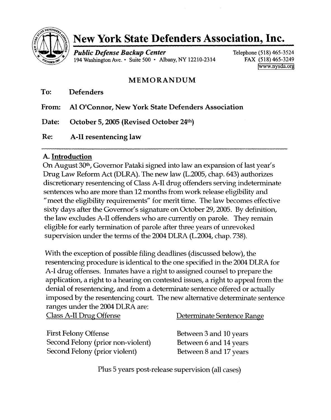

# **New York State Defenders Association, Inc.**

*Public Defense Backup Center* 194 Washington Ave .• Suite 500 • Albany, NY 12210-2314 Telephone (518) 465-3524 FAX (518) 465-3249 [www.nysda.org](http://www.nysda.org)

# MEMORANDUM

To: Defenders

From: Al O'Connor, New York State Defenders Association

Date: October 5, 2005 (Revised October 24th)

Re: A-II resentencing law

## A.Introduction

On August 30<sup>th</sup>, Governor Pataki signed into law an expansion of last year's Drug Law Reform Act (DLRA). The new law (L.2005, chap. 643) authorizes discretionary resentencing of Class A-II drug offenders serving indeterminate sentences who are more than 12 months from work release eligibility and "meet the eligibility requirements" for merit time. The law becomes effective sixty days after the Governor's signature on October 29,2005. By definition, the law excludes A-II offenders who are currently on parole. They remain eligible for early termination of parole after three years of unrevoked supervision under the terms of the 2004 DLRA (L.2004, chap. 738).

With the exception of possible filing deadlines (discussed below), the resentencing procedure is identical to the one specified in the 2004 DLRA for A-I drug offenses. Inmates have a right to assigned counsel to prepare the application, a right to a hearing on contested issues, a right to appeal from the denial of resentencing, and from a determinate sentence offered or actually imposed by the resentencing court. The new alternative determinate sentence ranges under the 2004 DLRA are:

|  | <b>Class A-II Drug Offense</b> |
|--|--------------------------------|
|  |                                |

First Felony Offense Second Felony (prior non-violent) Second Felony (prior violent)

Determinate Sentence Range

Between 3 and 10 years Between 6 and 14 years Between 8 and 17 years

Plus 5 years post-release supervision (all cases)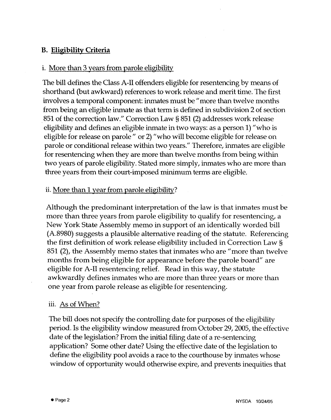## **B. Eligibility Criteria**

## i. More than 3 years from parole eligibility

The bill defines the Class A-II offenders eligible for resentencing by means of shorthand (but awkward) references to work release and merit time. The first involves a temporal component: inmates must be "more than twelve months from being an eligible inmate as that term is defined in subdivision 2 of section 851 of the correction law." Correction Law §851 (2) addresses work release eligibility and defines an eligible inmate in two ways: as a person 1) "who is eligible for release on parole" or 2) "who will become eligible for release on parole or conditional release within two years." Therefore, inmates are eligible for resentencing when they are more than twelve months from being within two years of parole eligibility. Stated more simply, inmates who are more than three years from their court-imposed minimum terms are eligible.

## ii. More than 1 year from parole eligibility?

Although the predominant interpretation of the law is that inmates must be more than three years from parole eligibility to qualify for resentencing, a New York State Assembly memo in support of an identically worded bill (A.8980) suggests a plausible alternative reading of the statute. Referencing the first definition of work release eligibility included in Correction Law § 851 (2), the Assembly memo states that inmates who are" more than twelve months from being eligible for appearance before the parole board" are eligible for A-II resentencing relief. Read in this way, the statute awkwardly defines inmates who are more than three years or more than one year from parole release as eligible for resentencing.

#### iii. As of When?

The bill does not specify the controlling date for purposes of the eligibility period. Is the eligibility window measured from October 29, 2005, the effective date of the legislation? From the initial filing date of a re-sentencing application? Some other date? Using the effective date of the legislation to define the eligibility pool avoids a race to the courthouse by inmates whose window of opportunity would otherwise expire, and prevents inequities that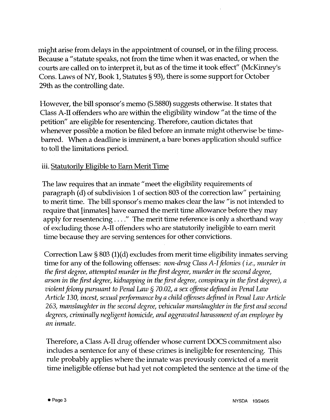might arise from delays in the appointment of counsel, or in the filing process. Because a "statute speaks, not from the time when it was enacted, or when the courts are called on to interpret it, but as of the time it took effect" (McKinney's Cons. Laws of NY, Book 1, Statutes § 93), there is some support for October 29th as the controlling date.

However, the bill sponsor's memo (S.5880) suggests otherwise. It states that Class A-II offenders who are within the eligibility window" at the time of the petition" are eligible for resentencing. Therefore, caution dictates that whenever possible a motion be filed before an inmate might otherwise be timebarred. When a deadline is imminent, a bare bones application should suffice to toll the limitations period.

## iii. Statutorily Eligible to Earn Merit Time

The law requires that an inmate "meet the eligibility requirements of paragraph (d) of subdivision 1 of section 803 of the correction law" pertaining to merit time. The bill sponsor's memo makes clear the law" is not intended to require that [inmates] have earned the merit time allowance before they may apply for resentencing .... " The merit time reference is only a shorthand way of excluding those A-II offenders who are statutorily ineligible to earn merit time because they are serving sentences for other convictions.

Correction Law §803 (1)(d) excludes from merit time eligibility inmates serving time for any of the following offenses: *non-drug Class A-I felonies ( i.e., murder in the first degree, attempted murder in the first degree, murder in the second degree, arson in the first degree, kidnapping in the first degree, conspiracy in the first degree), a violent felony pursuant to Penal Law* § *70.02, a sex offense defined in Penal Law Article 130, incest, sexual performance by a child offenses defined in Penal Law Article 263, manslaughter in the second degree, vehicular manslaughter in the first and second degrees, criminally negligent homicide, and aggravated harassment of an employee by an inmate.*

Therefore, a Class A-II drug offender whose current DOCS commitment also includes a sentence for any of these crimes is ineligible for resentencing. This rule probably applies where the inmate was previously convicted of a merit time ineligible offense but had yet not completed the sentence at the time of the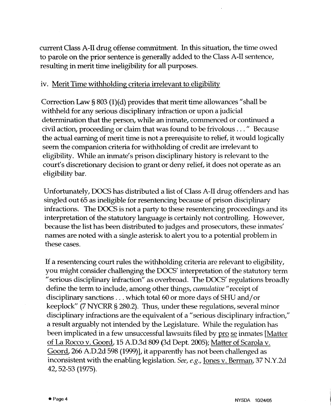current Class A-II drug offense commitment. In this situation, the time owed to parole on the prior sentence is generally added to the Class A-II sentence, resulting in merit time ineligibility for all purposes.

## iv. Merit Time withholding criteria irrelevant to eligibility

Correction Law  $\S 803 (1)(d)$  provides that merit time allowances "shall be withheld for any serious disciplinary infraction or upon a judicial determination that the person, while an inmate, commenced or continued a civil action, proceeding or claim that was found to be frivolous ... " Because the actual earning of merit time is not a prerequisite to relief, it would logically seem the companion criteria for withholding of credit are irrelevant to eligibility. While an inmate's prison disciplinary history is relevant to the court's discretionary decision to grant or deny relief, it does not operate as an eligibility bar.

Unfortunately, DOCS has distributed a list of Class A-II drug offenders and has singled out 65 as ineligible for resentencing because of prison disciplinary infractions. The DOCS is not a party to these resentencing proceedings and its interpretation of the statutory language is certainly not controlling. However, because the list has been distributed to judges and prosecutors, these inmates' names are noted with a single asterisk to alert you to a potential problem in these cases.

If a resentencing court rules the withholding criteria are relevant to eligibility, you might consider challenging the DOCS' interpretation of the statutory term " serious disciplinary infraction" as overbroad. The DOCS' regulations broadly define the term to include, among other things, *cumulative"* receipt of disciplinary sanctions ... which total 60 or more days of SHU and/ or keeplock" (7 NYCRR §280.2). Thus, under these regulations, several minor disciplinary infractions are the equivalent of a "serious disciplinary infraction," a result arguably not intended by the Legislature. While the regulation has been implicated in a few unsuccessful lawsuits filed by pro se inmates [Matter of La Rocco v. Goord, 15 A.D.3d 809 (3d Dept. 2005); Matter of Scarola v. Goord, 266 A.D.2d 598 (1999)], it apparently has not been challenged as inconsistent with the enabling legislation. *See, e.g.,* Jones v. Berman, 37 N.Y.2d 42,52-53 (1975).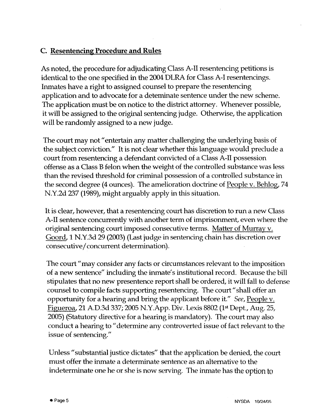# **C. Resentencing Procedure and Rules**

As noted, the procedure for adjudicating Class A-II resentencing petitions is identical to the one specified in the 2004 DLRA for Class A-I resentencings. Inmates have a right to assigned counsel to prepare the resentencing application and to advocate for a deterninate sentence under the new scheme. The application must be on notice to the district attorney. Whenever possible, it will be assigned to the original sentencing judge. Otherwise, the application will be randomly assigned to a new judge.

The court may not "entertain any matter challenging the underlying basis of the subject conviction." It is not clear whether this language would preclude a court from resentencing a defendant convicted of a Class A-II possession offense as a Class Bfelon when the weight of the controlled substance was less than the revised threshold for criminal possession of a controlled substance in the second degree (4 ounces). The amelioration doctrine of People v. Behlog, 74 N.Y.2d 237 (1989), might arguably apply in this situation.

It is clear, however, that a resentencing court has discretion to run a new Class A-II sentence concurrently with another term of imprisonment, even where the original sentencing court imposed consecutive terms. Matter of Murray v. Goord,1 N.Y.3d 29 (2003)(Last judge in sentencing chain has discretion over consecutive/ concurrent determination).

The court" may consider any facts or circumstances relevant to the imposition of a new sentence" including the inmate's institutional record. Because the bill stipulates that no new presentence report shall be ordered, it will fall to defense counsel to compile facts supporting resentencing. The court" shall offer an opportunity for a hearing and bring the applicant before it." *See,* People v. Figueroa, 21 A.D.3d 337; 2005 N.Y.App. Div. Lexis 8802 (1st Dept., Aug. 25, 2005) (Statutory directive for a hearing is mandatory). The court may also conduct a hearing to "determine any controverted issue of fact relevant to the issue of sentencing."

Unless" substantial justice dictates" that the application be denied, the court must offer the inmate a determinate sentence as an alternative to the indeterminate one he or she is now serving. The inmate has the option to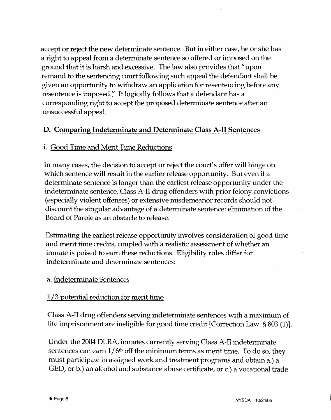accept or reject the new determinate sentence. But in either case, he or she has a right to appeal from a determinate sentence so offered or imposed on the ground that it is harsh and excessive. The law also provides that" upon remand to the sentencing court following such appeal the defendant shall be given an opportunity to withdraw an application for resentencing before any resentence is imposed." It logically follows that a defendant has a corresponding right to accept the proposed determinate sentence after an unsuccessful appeal.

## D. Comparing Indeterminate and Determinate Class A-II Sentences

## i. Good Time and Merit Time Reductions

In many cases, the decision to accept or reject the court's offer will hinge on which sentence will result in the earlier release opportunity. But even if a determinate sentence is longer than the earliest release opportunity under the indeterminate sentence, Class A-II drug offenders with prior felony convictions (especially violent offenses) or extensive misdemeanor records should not discount the singular advantage of a determinate sentence: elimination of the Board of Parole as an obstacle to release.

Estimating the earliest release opportunity involves consideration of good time and merit time credits, coupled with a realistic assessment of whether an inmate is poised to earn these reductions. Eligibility rules differ for indeterminate and determinate sentences:

### a. Indeterminate Sentences

## 1/3 potential reduction for merit time

Class A-II drug offenders serving indeterminate sentences with a maximum of life imprisonment are ineligible for good time credit [Correction Law § 803 (1)].

Under the 2004 DLRA, inmates currently serving Class A-II indeterminate sentences can earn  $1/6<sup>th</sup>$  off the minimum terms as merit time. To do so, they must participate in assigned work and treatment programs and obtain a.) a GED, or b.) an alcohol and substance abuse certificate, or c.) a vocational trade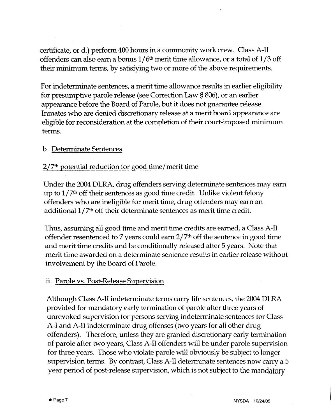certificate, or d.) perform 400 hours in a community work crew. Class A-II offenders can also earn a bonus 1*j* 6th merit time allowance, or a total of 1*j* 3 off their minimum terms, by satisfying two or more of the above requirements.

For indeterminate sentences, a merit time allowance results in earlier eligibility for presumptive parole release (see Correction Law §806), or an earlier appearance before the Board of Parole, but it does not guarantee release. Inmates who are denied discretionary release at a merit board appearance are eligible for reconsideration at the completion of their court-imposed minimum terms.

## b. Determinate Sentences

## $2/7<sup>th</sup>$  potential reduction for good time/merit time

Under the 2004 DLRA, drug offenders serving determinate sentences may earn up to 1/7<sup>th</sup> off their sentences as good time credit. Unlike violent felony offenders who are ineligible for merit time, drug offenders may earn an additional  $1/7<sup>th</sup>$  off their determinate sentences as merit time credit.

Thus, assuming all good time and merit time credits are earned, a Class A-II offender resentenced to 7 years could earn  $2/7<sup>th</sup>$  off the sentence in good time and merit time credits and be conditionally released after 5 years. Note that merit time awarded on a determinate sentence results in earlier release without involvement by the Board of Parole.

### ii. Parole vs. Post-Release Supervision

Although Class A-II indeterminate terms carry life sentences, the 2004 DLRA provided for mandatory early termination of parole after three years of unrevoked supervision for persons serving indeterminate sentences for Class A-I and A-II indeterminate drug offenses (two years for all other drug offenders). Therefore, unless they are granted discretionary early termination of parole after two years, Class A-II offenders will be under parole supervision for three years. Those who violate parole will obviously be subject to longer supervision terms. By contrast, Class A-II determinate sentences now carry a 5 year period of post-release supervision, which is not subject to the mandatory